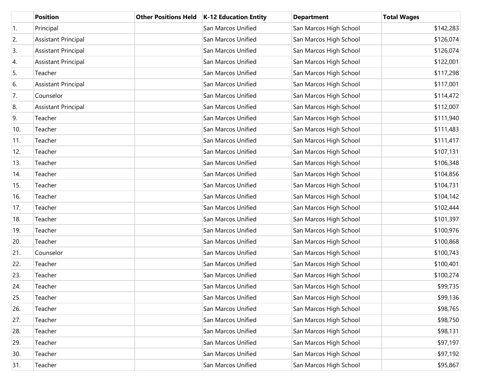|     | <b>Position</b>            | <b>Other Positions Held</b> | <b>K-12 Education Entity</b> | <b>Department</b>      | <b>Total Wages</b> |
|-----|----------------------------|-----------------------------|------------------------------|------------------------|--------------------|
| 1.  | Principal                  |                             | San Marcos Unified           | San Marcos High School | \$142,283          |
| 2.  | <b>Assistant Principal</b> |                             | San Marcos Unified           | San Marcos High School | \$126,074          |
| 3.  | <b>Assistant Principal</b> |                             | San Marcos Unified           | San Marcos High School | \$126,074          |
| 4.  | <b>Assistant Principal</b> |                             | San Marcos Unified           | San Marcos High School | \$122,001          |
| 5.  | Teacher                    |                             | San Marcos Unified           | San Marcos High School | \$117,298          |
| 6.  | <b>Assistant Principal</b> |                             | San Marcos Unified           | San Marcos High School | \$117,001          |
| 7.  | Counselor                  |                             | San Marcos Unified           | San Marcos High School | \$114,472          |
| 8.  | <b>Assistant Principal</b> |                             | San Marcos Unified           | San Marcos High School | \$112,007          |
| 9.  | Teacher                    |                             | San Marcos Unified           | San Marcos High School | \$111,940          |
| 10. | Teacher                    |                             | San Marcos Unified           | San Marcos High School | \$111,483          |
| 11. | Teacher                    |                             | San Marcos Unified           | San Marcos High School | \$111,417          |
| 12. | Teacher                    |                             | San Marcos Unified           | San Marcos High School | \$107,131          |
| 13. | Teacher                    |                             | San Marcos Unified           | San Marcos High School | \$106,348          |
| 14. | Teacher                    |                             | San Marcos Unified           | San Marcos High School | \$104,856          |
| 15. | Teacher                    |                             | San Marcos Unified           | San Marcos High School | \$104,731          |
| 16. | Teacher                    |                             | San Marcos Unified           | San Marcos High School | \$104,142          |
| 17. | Teacher                    |                             | San Marcos Unified           | San Marcos High School | \$102,444          |
| 18. | Teacher                    |                             | San Marcos Unified           | San Marcos High School | \$101,397          |
| 19. | Teacher                    |                             | San Marcos Unified           | San Marcos High School | \$100,976          |
| 20. | Teacher                    |                             | San Marcos Unified           | San Marcos High School | \$100,868          |
| 21. | Counselor                  |                             | San Marcos Unified           | San Marcos High School | \$100,743          |
| 22. | Teacher                    |                             | San Marcos Unified           | San Marcos High School | \$100,401          |
| 23. | Teacher                    |                             | San Marcos Unified           | San Marcos High School | \$100,274          |
| 24. | Teacher                    |                             | San Marcos Unified           | San Marcos High School | \$99,735           |
| 25. | Teacher                    |                             | San Marcos Unified           | San Marcos High School | \$99,136           |
| 26. | Teacher                    |                             | San Marcos Unified           | San Marcos High School | \$98,765           |
| 27. | Teacher                    |                             | San Marcos Unified           | San Marcos High School | \$98,750           |
| 28. | Teacher                    |                             | San Marcos Unified           | San Marcos High School | \$98,131           |
| 29. | Teacher                    |                             | San Marcos Unified           | San Marcos High School | \$97,197           |
| 30. | Teacher                    |                             | San Marcos Unified           | San Marcos High School | \$97,192           |
| 31. | Teacher                    |                             | San Marcos Unified           | San Marcos High School | \$95,867           |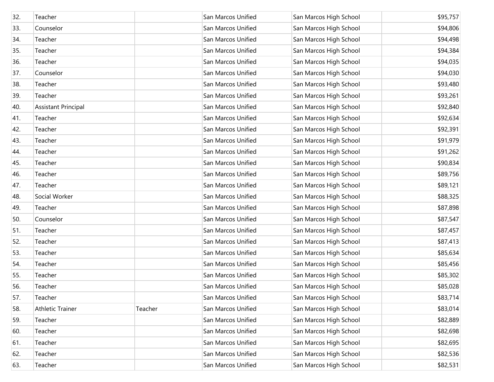| 32. | Teacher                    |         | San Marcos Unified | San Marcos High School | \$95,757 |
|-----|----------------------------|---------|--------------------|------------------------|----------|
| 33. | Counselor                  |         | San Marcos Unified | San Marcos High School | \$94,806 |
| 34. | Teacher                    |         | San Marcos Unified | San Marcos High School | \$94,498 |
| 35. | Teacher                    |         | San Marcos Unified | San Marcos High School | \$94,384 |
| 36. | Teacher                    |         | San Marcos Unified | San Marcos High School | \$94,035 |
| 37. | Counselor                  |         | San Marcos Unified | San Marcos High School | \$94,030 |
| 38. | Teacher                    |         | San Marcos Unified | San Marcos High School | \$93,480 |
| 39. | Teacher                    |         | San Marcos Unified | San Marcos High School | \$93,261 |
| 40. | <b>Assistant Principal</b> |         | San Marcos Unified | San Marcos High School | \$92,840 |
| 41. | Teacher                    |         | San Marcos Unified | San Marcos High School | \$92,634 |
| 42. | Teacher                    |         | San Marcos Unified | San Marcos High School | \$92,391 |
| 43. | Teacher                    |         | San Marcos Unified | San Marcos High School | \$91,979 |
| 44. | Teacher                    |         | San Marcos Unified | San Marcos High School | \$91,262 |
| 45. | Teacher                    |         | San Marcos Unified | San Marcos High School | \$90,834 |
| 46. | Teacher                    |         | San Marcos Unified | San Marcos High School | \$89,756 |
| 47. | Teacher                    |         | San Marcos Unified | San Marcos High School | \$89,121 |
| 48. | Social Worker              |         | San Marcos Unified | San Marcos High School | \$88,325 |
| 49. | Teacher                    |         | San Marcos Unified | San Marcos High School | \$87,898 |
| 50. | Counselor                  |         | San Marcos Unified | San Marcos High School | \$87,547 |
| 51. | Teacher                    |         | San Marcos Unified | San Marcos High School | \$87,457 |
| 52. | Teacher                    |         | San Marcos Unified | San Marcos High School | \$87,413 |
| 53. | Teacher                    |         | San Marcos Unified | San Marcos High School | \$85,634 |
| 54. | Teacher                    |         | San Marcos Unified | San Marcos High School | \$85,456 |
| 55. | Teacher                    |         | San Marcos Unified | San Marcos High School | \$85,302 |
| 56. | Teacher                    |         | San Marcos Unified | San Marcos High School | \$85,028 |
| 57. | Teacher                    |         | San Marcos Unified | San Marcos High School | \$83,714 |
| 58. | <b>Athletic Trainer</b>    | Teacher | San Marcos Unified | San Marcos High School | \$83,014 |
| 59. | Teacher                    |         | San Marcos Unified | San Marcos High School | \$82,889 |
| 60. | Teacher                    |         | San Marcos Unified | San Marcos High School | \$82,698 |
| 61. | Teacher                    |         | San Marcos Unified | San Marcos High School | \$82,695 |
| 62. | Teacher                    |         | San Marcos Unified | San Marcos High School | \$82,536 |
| 63. | Teacher                    |         | San Marcos Unified | San Marcos High School | \$82,531 |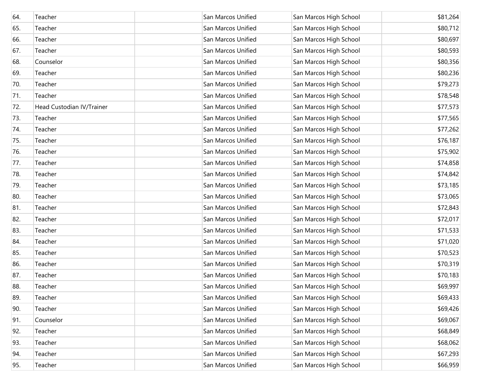| 64. | Teacher                   | San Marcos Unified | San Marcos High School | \$81,264 |
|-----|---------------------------|--------------------|------------------------|----------|
| 65. | Teacher                   | San Marcos Unified | San Marcos High School | \$80,712 |
| 66. | Teacher                   | San Marcos Unified | San Marcos High School | \$80,697 |
| 67. | Teacher                   | San Marcos Unified | San Marcos High School | \$80,593 |
| 68. | Counselor                 | San Marcos Unified | San Marcos High School | \$80,356 |
| 69. | Teacher                   | San Marcos Unified | San Marcos High School | \$80,236 |
| 70. | Teacher                   | San Marcos Unified | San Marcos High School | \$79,273 |
| 71. | Teacher                   | San Marcos Unified | San Marcos High School | \$78,548 |
| 72. | Head Custodian IV/Trainer | San Marcos Unified | San Marcos High School | \$77,573 |
| 73. | Teacher                   | San Marcos Unified | San Marcos High School | \$77,565 |
| 74. | Teacher                   | San Marcos Unified | San Marcos High School | \$77,262 |
| 75. | Teacher                   | San Marcos Unified | San Marcos High School | \$76,187 |
| 76. | Teacher                   | San Marcos Unified | San Marcos High School | \$75,902 |
| 77. | Teacher                   | San Marcos Unified | San Marcos High School | \$74,858 |
| 78. | Teacher                   | San Marcos Unified | San Marcos High School | \$74,842 |
| 79. | Teacher                   | San Marcos Unified | San Marcos High School | \$73,185 |
| 80. | Teacher                   | San Marcos Unified | San Marcos High School | \$73,065 |
| 81. | Teacher                   | San Marcos Unified | San Marcos High School | \$72,843 |
| 82. | Teacher                   | San Marcos Unified | San Marcos High School | \$72,017 |
| 83. | Teacher                   | San Marcos Unified | San Marcos High School | \$71,533 |
| 84. | Teacher                   | San Marcos Unified | San Marcos High School | \$71,020 |
| 85. | Teacher                   | San Marcos Unified | San Marcos High School | \$70,523 |
| 86. | Teacher                   | San Marcos Unified | San Marcos High School | \$70,319 |
| 87. | Teacher                   | San Marcos Unified | San Marcos High School | \$70,183 |
| 88. | Teacher                   | San Marcos Unified | San Marcos High School | \$69,997 |
| 89. | Teacher                   | San Marcos Unified | San Marcos High School | \$69,433 |
| 90. | Teacher                   | San Marcos Unified | San Marcos High School | \$69,426 |
| 91. | Counselor                 | San Marcos Unified | San Marcos High School | \$69,067 |
| 92. | Teacher                   | San Marcos Unified | San Marcos High School | \$68,849 |
| 93. | Teacher                   | San Marcos Unified | San Marcos High School | \$68,062 |
| 94. | Teacher                   | San Marcos Unified | San Marcos High School | \$67,293 |
| 95. | Teacher                   | San Marcos Unified | San Marcos High School | \$66,959 |